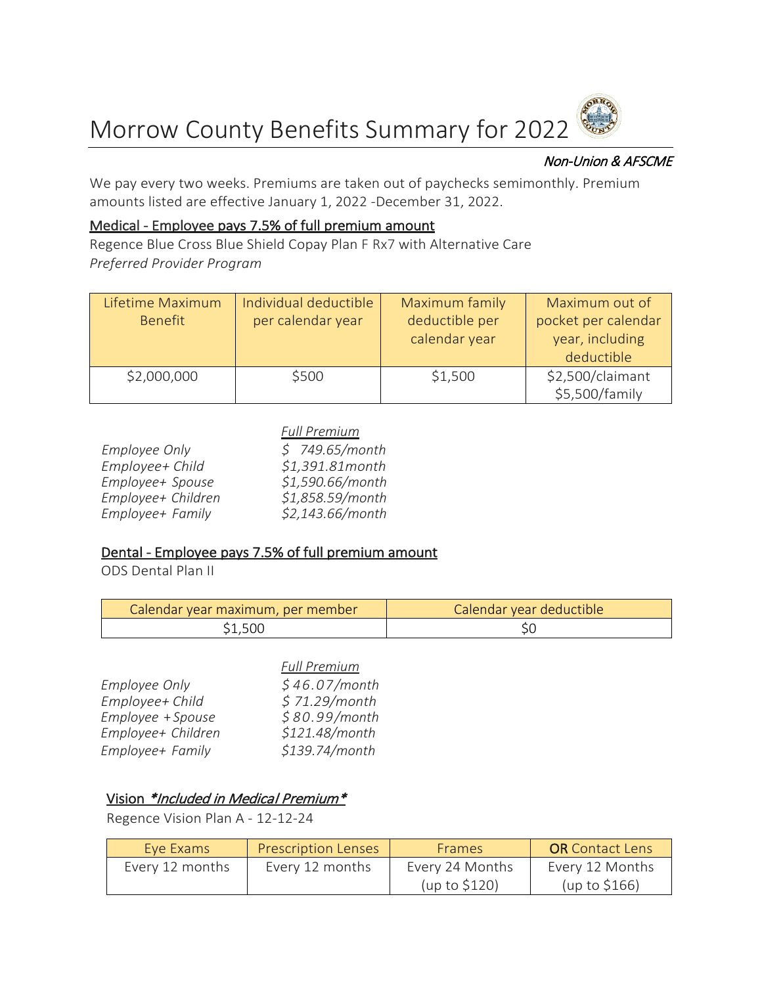

### Non-Union & AFSCME

We pay every two weeks. Premiums are taken out of paychecks semimonthly. Premium amounts listed are effective January 1, 2022 -December 31, 2022.

#### Medical - Employee pays 7.5% of full premium amount

Regence Blue Cross Blue Shield Copay Plan F Rx7 with Alternative Care *Preferred Provider Program* 

| Lifetime Maximum<br><b>Benefit</b> | Individual deductible<br>per calendar year | Maximum family<br>deductible per<br>calendar year | Maximum out of<br>pocket per calendar<br>year, including<br>deductible |
|------------------------------------|--------------------------------------------|---------------------------------------------------|------------------------------------------------------------------------|
| \$2,000,000                        | \$500                                      | \$1,500                                           | \$2,500/claimant<br>\$5,500/family                                     |

|                      | <b>Full Premium</b> |
|----------------------|---------------------|
| <b>Employee Only</b> | \$749.65/month      |
| Employee+ Child      | \$1,391.81month     |
| Employee+ Spouse     | \$1,590.66/month    |
| Employee+ Children   | \$1,858.59/month    |
| Employee+ Family     | \$2,143.66/month    |

### Dental - Employee pays 7.5% of full premium amount

ODS Dental Plan II

| Calendar year maximum, per member | Calendar year deductible |
|-----------------------------------|--------------------------|
| S1.500                            |                          |

|                      | <b>Full Premium</b> |
|----------------------|---------------------|
| <b>Employee Only</b> | \$46.07/month       |
| Employee+ Child      | \$71.29/month       |
| Employee + Spouse    | \$80.99/month       |
| Employee+ Children   | \$121.48/month      |
| Employee+ Family     | \$139.74/month      |

# Vision \*Included in Medical Premium\*

Regence Vision Plan A - 12-12-24

| Eve Exams       | <b>Prescription Lenses</b> | <b>Frames</b>   | <b>OR</b> Contact Lens |
|-----------------|----------------------------|-----------------|------------------------|
| Every 12 months | Every 12 months            | Every 24 Months | Every 12 Months        |
|                 |                            | (up to \$120)   | (up to $$166$ )        |